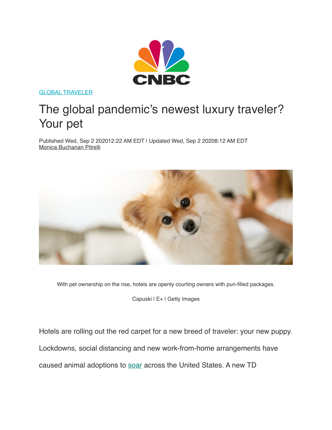

[GLOBAL TRAVELER](https://www.cnbc.com/global-traveler/)

## The global pandemic's newest luxury traveler? Your pet

Published Wed, Sep 2 202012:22 AM EDT | Updated Wed, Sep 2 20208:12 AM EDT [Monica Buchanan Pitrelli](https://www.cnbc.com/monica-pitrelli/)



With pet ownership on the rise, hotels are openly courting owners with pun-filled packages.

Capuski | E+ | Getty Images

Hotels are rolling out the red carpet for a new breed of traveler: your new puppy. Lockdowns, social distancing and new work-from-home arrangements have caused animal adoptions to [soar](https://www.cnbc.com/2020/08/10/many-americans-have-adopted-pets-amid-covid-19-but-beware-the-costs.html) across the United States. A new TD